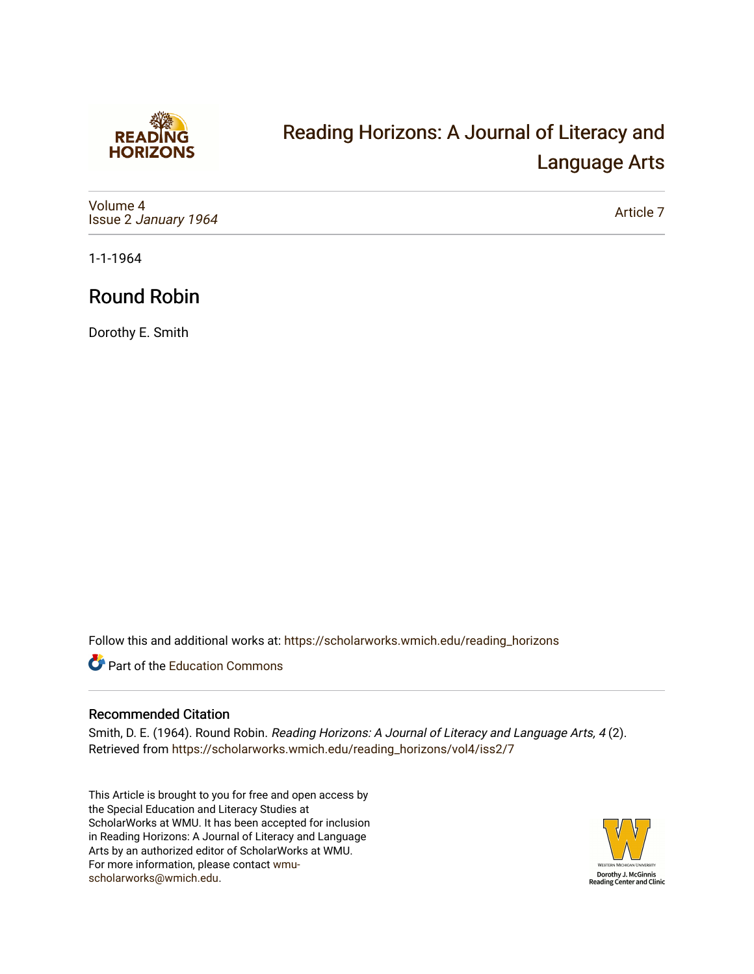

# [Reading Horizons: A Journal of Literacy and](https://scholarworks.wmich.edu/reading_horizons)  [Language Arts](https://scholarworks.wmich.edu/reading_horizons)

[Volume 4](https://scholarworks.wmich.edu/reading_horizons/vol4) Issue 2 [January 1964](https://scholarworks.wmich.edu/reading_horizons/vol4/iss2)

[Article 7](https://scholarworks.wmich.edu/reading_horizons/vol4/iss2/7) 

1-1-1964

## Round Robin

Dorothy E. Smith

Follow this and additional works at: [https://scholarworks.wmich.edu/reading\\_horizons](https://scholarworks.wmich.edu/reading_horizons?utm_source=scholarworks.wmich.edu%2Freading_horizons%2Fvol4%2Fiss2%2F7&utm_medium=PDF&utm_campaign=PDFCoverPages)

Part of the [Education Commons](http://network.bepress.com/hgg/discipline/784?utm_source=scholarworks.wmich.edu%2Freading_horizons%2Fvol4%2Fiss2%2F7&utm_medium=PDF&utm_campaign=PDFCoverPages)

#### Recommended Citation

Smith, D. E. (1964). Round Robin. Reading Horizons: A Journal of Literacy and Language Arts, 4 (2). Retrieved from [https://scholarworks.wmich.edu/reading\\_horizons/vol4/iss2/7](https://scholarworks.wmich.edu/reading_horizons/vol4/iss2/7?utm_source=scholarworks.wmich.edu%2Freading_horizons%2Fvol4%2Fiss2%2F7&utm_medium=PDF&utm_campaign=PDFCoverPages) 

This Article is brought to you for free and open access by the Special Education and Literacy Studies at ScholarWorks at WMU. It has been accepted for inclusion in Reading Horizons: A Journal of Literacy and Language Arts by an authorized editor of ScholarWorks at WMU. For more information, please contact [wmu](mailto:wmu-scholarworks@wmich.edu)[scholarworks@wmich.edu.](mailto:wmu-scholarworks@wmich.edu)

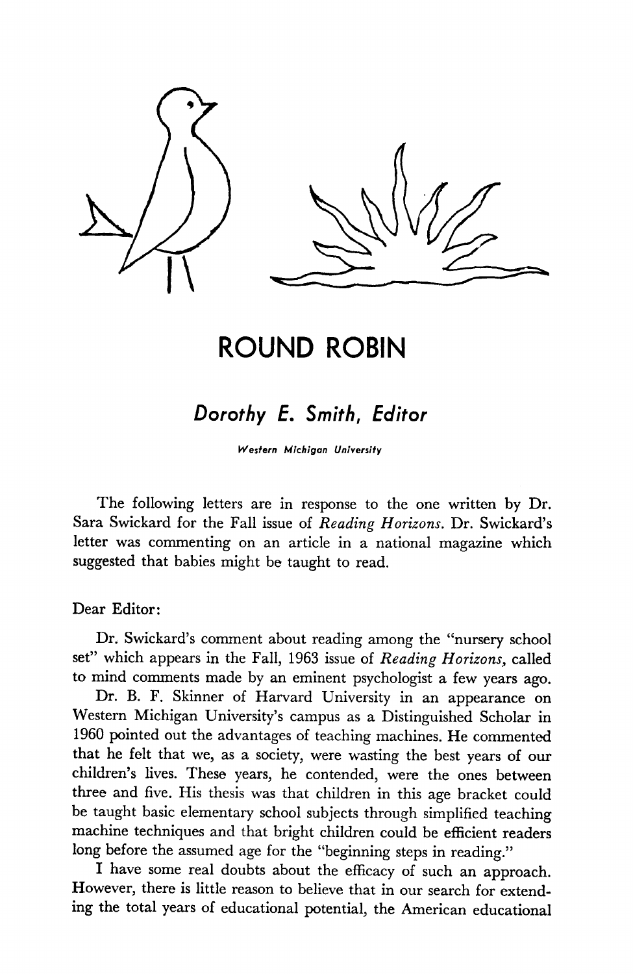

### *ROUND ROBIN*

### *Dorothy E. Smith, Editor*

*Western Michigan University*

The following letters are in response to the one written by Dr. Sara Swickard for the Fall issue of **Reading Horizons.** Dr. Swickard's letter was commenting on an article in a national magazine which suggested that babies might be taught to read.

Dear Editor:

Dr. Swickard's comment about reading among the "nursery school set" which appears in the Fall, 1963 issue of **Reading Horizons,** called to mind comments made by an eminent psychologist a few years ago.

Dr. B. F. Skinner of Harvard University in an appearance on Western Michigan University's campus as a Distinguished Scholar in 1960 pointed out the advantages of teaching machines. He commented that he felt that we, as a society, were wasting the best years of our children's lives. These years, he contended, were the ones between three and five. His thesis was that children in this age bracket could be taught basic elementary school subjects through simplified teaching machine techniques and that bright children could be efficient readers long before the assumed age for the "beginning steps in reading."

I have some real doubts about the efficacy of such an approach. However, there is little reason to believe that in our search for extend ing the total years of educational potential, the American educational